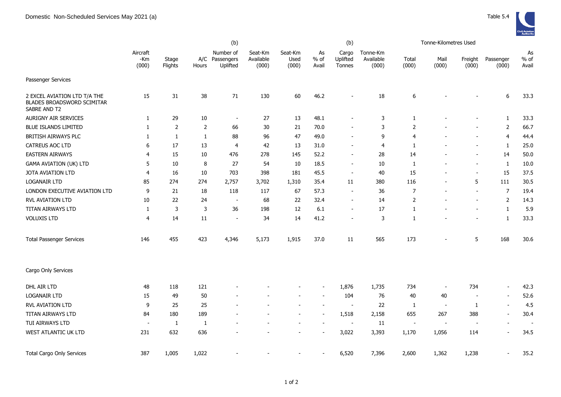

|                                                                                   |                            |                  | (b)            |                                         |                               |                          | (b)                   |                             |                                | Tonne-Kilometres Used    |                          |                          |                          |                       |
|-----------------------------------------------------------------------------------|----------------------------|------------------|----------------|-----------------------------------------|-------------------------------|--------------------------|-----------------------|-----------------------------|--------------------------------|--------------------------|--------------------------|--------------------------|--------------------------|-----------------------|
|                                                                                   | Aircraft<br>$-Km$<br>(000) | Stage<br>Flights | Hours          | Number of<br>A/C Passengers<br>Uplifted | Seat-Km<br>Available<br>(000) | Seat-Km<br>Used<br>(000) | As<br>$%$ of<br>Avail | Cargo<br>Uplifted<br>Tonnes | Tonne-Km<br>Available<br>(000) | Total<br>(000)           | Mail<br>(000)            | Freight<br>(000)         | Passenger<br>(000)       | As<br>$%$ of<br>Avail |
| Passenger Services                                                                |                            |                  |                |                                         |                               |                          |                       |                             |                                |                          |                          |                          |                          |                       |
| 2 EXCEL AVIATION LTD T/A THE<br><b>BLADES BROADSWORD SCIMITAR</b><br>SABRE AND T2 | 15                         | 31               | 38             | $71\,$                                  | 130                           | 60                       | 46.2                  |                             | 18                             | 6                        |                          |                          | $\boldsymbol{6}$         | 33.3                  |
| AURIGNY AIR SERVICES                                                              | $\mathbf{1}$               | 29               | $10\,$         | $\overline{\phantom{a}}$                | 27                            | 13                       | 48.1                  | $\overline{\phantom{a}}$    | 3                              | $\mathbf{1}$             |                          | $\overline{\phantom{a}}$ | $\mathbf{1}$             | 33.3                  |
| <b>BLUE ISLANDS LIMITED</b>                                                       | 1                          | 2                | $\overline{2}$ | 66                                      | 30                            | 21                       | 70.0                  | $\overline{\phantom{a}}$    | 3                              | $\overline{2}$           |                          |                          | 2                        | 66.7                  |
| BRITISH AIRWAYS PLC                                                               | 1                          | $\mathbf{1}$     | 1              | 88                                      | 96                            | 47                       | 49.0                  | $\overline{\phantom{a}}$    | 9                              | 4                        |                          |                          | 4                        | 44.4                  |
| CATREUS AOC LTD                                                                   | 6                          | 17               | 13             | $\overline{4}$                          | 42                            | 13                       | 31.0                  | $\overline{\phantom{a}}$    | $\overline{4}$                 | $\mathbf{1}$             |                          | $\blacksquare$           | $\mathbf{1}$             | 25.0                  |
| <b>EASTERN AIRWAYS</b>                                                            | 4                          | 15               | 10             | 476                                     | 278                           | 145                      | 52.2                  | $\overline{\phantom{a}}$    | 28                             | 14                       | $\blacksquare$           | $\overline{\phantom{a}}$ | 14                       | 50.0                  |
| <b>GAMA AVIATION (UK) LTD</b>                                                     | 5                          | 10               | 8              | 27                                      | 54                            | 10                       | 18.5                  | $\overline{\phantom{a}}$    | 10                             | $\mathbf{1}$             | $\overline{a}$           | $\overline{\phantom{m}}$ | $\mathbf{1}$             | 10.0                  |
| JOTA AVIATION LTD                                                                 | $\overline{4}$             | 16               | 10             | 703                                     | 398                           | 181                      | 45.5                  | $\overline{\phantom{a}}$    | 40                             | 15                       | $\blacksquare$           | $\blacksquare$           | 15                       | 37.5                  |
| <b>LOGANAIR LTD</b>                                                               | 85                         | 274              | 274            | 2,757                                   | 3,702                         | 1,310                    | 35.4                  | 11                          | 380                            | 116                      | $\overline{a}$           | 5                        | 111                      | 30.5                  |
| LONDON EXECUTIVE AVIATION LTD                                                     | 9                          | 21               | 18             | 118                                     | 117                           | 67                       | 57.3                  | $\overline{\phantom{a}}$    | 36                             | 7                        | $\overline{\phantom{a}}$ | $\blacksquare$           | $\overline{7}$           | 19.4                  |
| RVL AVIATION LTD                                                                  | 10                         | 22               | 24             | $\overline{\phantom{a}}$                | 68                            | 22                       | 32.4                  | $\overline{\phantom{a}}$    | 14                             | $\overline{2}$           |                          |                          | $\overline{2}$           | 14.3                  |
| TITAN AIRWAYS LTD                                                                 | 1                          | 3                | 3              | 36                                      | 198                           | 12                       | 6.1                   | $\overline{\phantom{a}}$    | 17                             | 1                        |                          | $\overline{\phantom{a}}$ | $\mathbf{1}$             | 5.9                   |
| <b>VOLUXIS LTD</b>                                                                | 4                          | 14               | 11             | $\blacksquare$                          | 34                            | 14                       | 41.2                  | $\overline{\phantom{a}}$    | 3                              | $\mathbf{1}$             | ۰                        | $\blacksquare$           | 1                        | 33.3                  |
| <b>Total Passenger Services</b>                                                   | 146                        | 455              | 423            | 4,346                                   | 5,173                         | 1,915                    | 37.0                  | 11                          | 565                            | 173                      |                          | 5                        | 168                      | 30.6                  |
| Cargo Only Services                                                               |                            |                  |                |                                         |                               |                          |                       |                             |                                |                          |                          |                          |                          |                       |
| DHL AIR LTD                                                                       | 48                         | 118              | 121            |                                         |                               |                          |                       | 1,876                       | 1,735                          | 734                      | $\overline{\phantom{a}}$ | 734                      | $\blacksquare$           | 42.3                  |
| <b>LOGANAIR LTD</b>                                                               | 15                         | 49               | 50             |                                         |                               |                          |                       | 104                         | 76                             | 40                       | 40                       |                          | $\overline{\phantom{a}}$ | 52.6                  |
| RVL AVIATION LTD                                                                  | 9                          | 25               | 25             |                                         |                               |                          |                       | $\overline{\phantom{a}}$    | 22                             | $\mathbf{1}$             | $\overline{\phantom{a}}$ | 1                        | $\overline{\phantom{a}}$ | 4.5                   |
| TITAN AIRWAYS LTD                                                                 | 84                         | 180              | 189            |                                         |                               |                          | $\sim$                | 1,518                       | 2,158                          | 655                      | 267                      | 388                      | $\sim$                   | 30.4                  |
| TUI AIRWAYS LTD                                                                   | $\overline{\phantom{a}}$   | 1                | 1              |                                         |                               |                          |                       | $\sim$                      | 11                             | $\overline{\phantom{a}}$ | $\overline{\phantom{a}}$ | $\overline{a}$           | $\overline{\phantom{a}}$ | ÷.                    |
| WEST ATLANTIC UK LTD                                                              | 231                        | 632              | 636            |                                         |                               |                          |                       | 3,022                       | 3,393                          | 1,170                    | 1,056                    | 114                      | $\blacksquare$           | 34.5                  |
| <b>Total Cargo Only Services</b>                                                  | 387                        | 1,005            | 1,022          |                                         |                               |                          |                       | 6,520                       | 7,396                          | 2,600                    | 1,362                    | 1,238                    | $\overline{a}$           | 35.2                  |